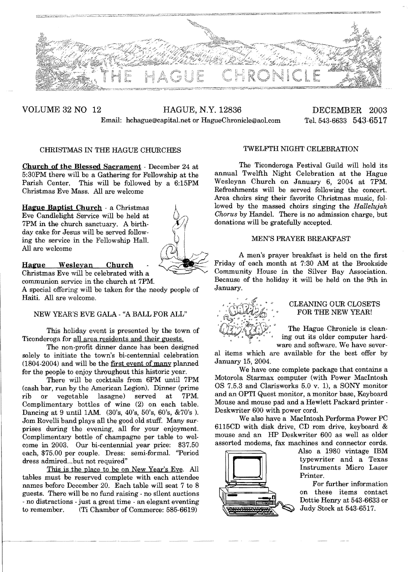

VOLUME 32 NO 12 HAGUE, N.Y. 12836 DECEMBER 2003 Email: hchague@capital.net or HagueChronicle@aol.com Tel. 543-6633 543-6517

# CHRISTMAS IN THE HAGUE CHURCHES

Church of the Blessed Sacrament - December 24 at 5:30PM there will be a Gathering for Fellowship at the Parish Center. This will be followed by a 6:15PM Christmas Eve Mass. All are welcome

Hague Baptist Church · a Christmas Eve Candlelight Service will be held at 7PM in the church sanctuary. A birthday cake for Jesus will be served following the service in the Fellowship Hall. All are welcome



Hague Wesleyan Church Christmas Eve will be celebrated with a communion service in the church at 7PM.

A special offering will be taken for the needy people of Haiti. All are welcome.

# NEW YEAR'S EVE GALA - "A BALL FOR ALL"

This holiday event is presented by the town of Ticonderoga for all area residents and their guests.

The non-profit dinner dance has been designed solely to initiate the town's bi-centennial celebration (1804-2004) and will be the first event of many planned for the people to enjoy throughout this historic year.

There will be cocktails from 6PM until 7PM (cash bar, run by the American Legion). Dinner (prime rib or vegetable lasagne) served at Complimentary bottles of wine (2) on each table. Dancing at 9 until 1AM. (30's, 40's, 50's, 60's, &70's). Jom Rovelli band plays all the good old stuff. Many surprises during the evening, all for your enjoyment. Complimentary bottle of champagne per table to welcome in 2003. Our bi-centennial year price: \$37.50 each, \$75.00 per couple. Dress: semi-formal. "Period dress admired...but not required"

This is the place to be on New Year's Eve. All tables must be reserved complete with each attendee names before December 20. Each table will seat 7 to 8 guests. There will be no fund raising - no silent auctions - no distractions - just a great time - an elegant eventing<br>to remember. (Ti Chamber of Commerce: 585-6619) (Ti Chamber of Commerce: 585-6619)

## TWELFTH NIGHT CELEBRATION

The Ticonderoga Festival Guild will hold its annual Twelfth Night Celebration at the Hague Wesleyan Church on January 6, 2004 at 7PM. Refreshments will be served following the concert. Area choirs sing their favorite Christmas music, followed by the massed choirs singing the *Hallelujah Chorus* by Handel. There is no admission charge, but donations will be gratefully accepted.

## MEN'S PRAYER BREAKFAST

A men's prayer breakfast is held on the first Friday of each month at 7:30 AM at the Brookside Community House in the Silver Bay Association. Because of the holiday it will be held on the 9th in January.



# CLEANING OUR CLOSETS FOR THE NEW YEAR!

The Hague Chronicle is cleaning out its older computer hardware and software. We have sever-

al items which are available for the best offer by January 15, 2004.

We have one complete package that contains a Motorola Starmax computer (with Power MacIntosh OS 7.5.3 and Clarisworks 5.0 v. 1), a SONY monitor and an OPTI Quest monitor, a monitor base, Keyboard Mouse and mouse pad and a Hewlett Packard printer - Deskwriter 600 with power cord.

We also have a MacIntosh Performa Power PC 6115CD with disk drive, CD rom drive, keyboard & mouse and an HP Deskwriter 600 as well as older assorted modems, fax machines and connector cords.



Also a 1980 vintage IBM typewriter and a Texas Instruments Micro Laser Printer.

For further information on these items contact Dottie Henry at 543-6633 or Judy Stock at 543-6517.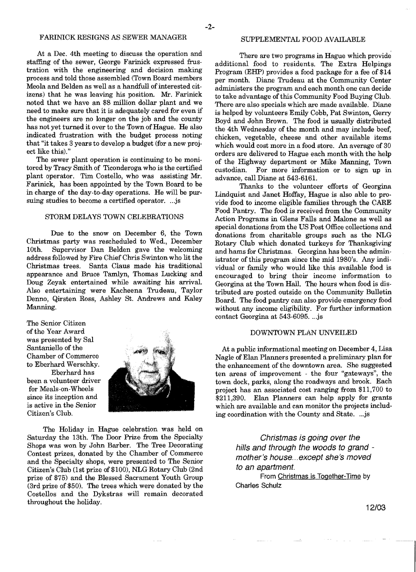# FARINICK RESIGNS AS SEWER MANAGER

At a Dec. 4th meeting to discuss the operation and staffing of the sewer, George Farinick expressed frustration with the engineering and decision making process and told those assembled (Town Board members Meola and Belden as well as a handfull of interested citizens) that he was leaving his position. Mr. Farinick noted that we have an \$8 million dollar plant and we need to make sure that it is adequately cared for even if the engineers are no longer on the job and the county has not yet turned it over to the Town of Hague. He also indicated frustration with the budget process noting that "it takes 3 years to develop a budget (for a new project like this)."

The sewer plant operation is continuing to be monitored by Tracy Smith of Ticonderoga who is the certified plant operator. Tim Costello, who was assisting Mr. Farinick, has been appointed by the Town Board to be in charge of the day-to-day operations. He will be pursuing studies to become a certified operator. ...js

## STORM DELAYS TOWN CELEBRATIONS

Due to the snow on December 6, the Town Christmas party was rescheduled to Wed., December 10th. Supervisor Dan Belden gave the welcoming address followed by Fire Chief Chris Swinton who lit the Christmas trees. Santa Claus made his traditional appearance and Bruce Tamlyn, Thomas Lucking and Doug Zeyak entertained while awaiting his arrivaL Also entertaining were Kacheena Trudeau, Taylor Denno, Qirsten Ross, Ashley St. Andrews and Kaley Manning.

The Senior Citizen ofthe Year Award was presented by Sal Santaniello of the Chamber of Commerce to Eberhard Werschky. Eberhard has been a volunteer driver for Meals-on-Wheels since its inception and is active in the Senior Citizen's Club.



The Holiday in Hague celebration was held on Saturday the 13th. The Door Prize from the Specialty Shops was won by John Barber. The Tree Decorating Contest prizes, donated by the Chamber of Commerce and the Specialty shops, were presented to The Senior Citizen's Club (1st prize of\$lOO), NLG Rotary Club (2nd prize of \$75) and the Blessed Sacrament Youth Group (3rd prize of \$50). The trees which were donated by the Costellos and the Dykstras will remain decorated throughout the holiday.

#### SUPPLEMENTAL FOOD AVAILABLE

There are two programs in Hague which provide additional food to residents. The Extra Helpings Program (EHP) provides a food package for a fee of \$14 per month. Diane Trudeau at the Community Center administers the program and each month one can decide to take advantage of this Community Food Buying Club. There are also specials which are made available. Diane is helped by volunteers Emily Cobb, Pat Swinton, Gerry Boyd and John Brown. The food is usually distributed the 4th Wednesday of the month and may include beef, chicken, vegetable, cheese and other available items which would cost more in a food store. An average of 30 orders are delivered to Hague each month with the help of the Highway department or Mike Manning, Town custodian. For more information or to sign up in advance, call Diane at 543-6161.

Thanks to the volunteer efforts of Georgina Lindquist and Janet Hoffay, Hague is also able to provide food to income eligible families through the CARE Food Pantry. The food is received from the Community Action Programs in Glens Falls and Malone as well as special donations from the US Post Office collections and donations from charitable groups such as the NLG Rotary Club which donated turkeys for Thanksgiving and hams for Christmas. Georgina has been the administrator of this program since the mid 1980's. Any individual or family who would like this available food is encouraged to bring their income information to Georgina at the Town Hall. The hours when food is distributed are posted outside on the Community Bulletin Board. The food pantry can also provide emergency food without any income eligibility. For further information contact Georgina at 543-6095....js

#### DOWNTOWN PLAN UNVEILED

At a public informational meeting on December 4, Lisa Nagle of Elan Planners presented a preliminary plan for the enhancement of the downtown area. She suggested ten areas of improvement - the four "gateways", the town dock, parks, along the roadways and brook. Each project has an associated cost ranging from \$11,700 to \$211,390. Elan Planners can help apply for grants which are available and can monitor the projects including coordination with the County and State. ...js

> Christmas is going over the hills and through the woods to grand mother's house...except she's moved to an apartment.

From Christmas is Together-Time by Charles Schulz

12/03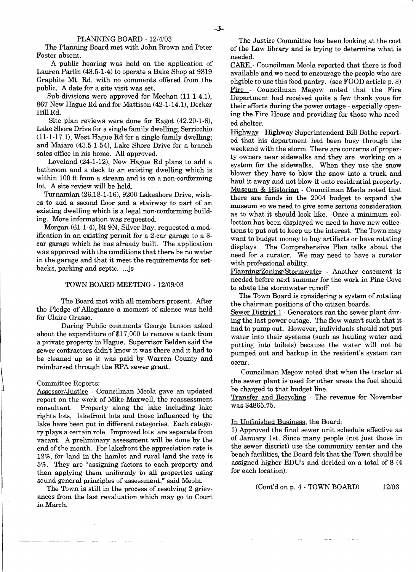The Planning Board met with John Brown and Peter of the Law library and is trying to determine what is<br>Foster absent. Foster absent. needed. needed.

A public hearing was held on the application of Lauren Parlin (43.5-1-4) to operate a Bake Shop at 9819 Graphite Mt. Rd. with no comments offered from the public. A date for a site visit was set.

Sub-divisions were approved for Meehan (11-1-4.1), 867 New Hague Rd and for Mattison (42-1-14.1), Decker Hill Rd.

Site plan reviews were done for Ragot (42.20-1-6), Lake Shore Drive for a single family dwelling; Serricchio (11-1-17.1), West Hague Rd for a single family dwelling; and Maiaro (43.5-1-54), Lake Shore Drive for a branch sales office in his home. All approved.

Loveland (24-1-12), New Hague Rd plans to add a bathroom and a deck to an existing dwelling which is within 100 ft from a stream and is on a non-conforming lot. A site review will be held.

Turnamian (26.18-1-16),9200 Lakeshore Drive, wishes to add a second floor and a stairway to part of an existing dwelling which is a legal non-conforming building. More information was requested.

Morgan (61-1-4), Rt 9N, Silver Bay, requested a modification in an existing permit for a 2-car garage to a 3 car garage which he has already built. The application was approved with the conditions that there be no water in the garage and that it meet the requirements for setbacks, parking and septic. ...js

#### TOWN BOARD MEETING - 12/09/03

The Board met with all members present. After the Pledge of Allegiance a moment of silence was held for Claire Grasso.

During Public comments George Ianson asked about the expenditure of \$17,000 to remove a tank from a private property in Hague. Supervisor Belden said the sewer contractors didn't know it was there and it had to be cleaned up so it was paid by Warren County and reimbursed through the EPA sewer grant.

#### Committee Reports:

Assessor/Justice - Councilman Meola gave an updated report on the work of Mike Maxwell, the reassessment consultant. Property along the lake including lake rights lots, lakefront lots and those influenced by the lake have been put in different categories. Each category plays a certain role. Improved lots are separate from vacant. A preliminary assessment will be done by the end of the month. For lakefront the appreciation rate is 12%, for land in the hamlet and rural land the rate is 5%. They are "assigning factors to each property and then applying them uniformly to all properties using sound general principles of assessment," said Meola.

The Town is still in the process of resolving 2 grievances from the last revaluation which may go to Court in March.

PLANNING BOARD - 12/4/03 The Justice Committee has been looking at the cost<br>The Planning Board met with John Brown and Peter of the Law library and is trying to determine what is

CARE - Councilman Meola reported that there is food available and we need to encourage the people who are eligible to use this food pantry. (see FOOD article p. 3) Fire - Councilman Megow noted that the Fire Department had received quite a few thank yous for their efforts during the power outage - especially opening the Fire House and providing for those who needed shelter.

Highway - Highway Superintendent Bill Bothe reported that his department had been busy through the weekend with the storm. There are concerns of property owners near sidewalks and they are working on a system for the sidewalks. When they use the snow blower they have to blow the snow into a truck and haul it away and not blow it onto residential property. Museum & Historian - Councilman Meola noted that there are funds in the 2004 budget to expand the museum so we need to give some serious consideration as to what it should look like. Once a minimum collection has been displayed we need to have new collections to put out to keep up the interest. The Town may want to budget money to buy artifacts or have rotating displays. The Comprehensive Plan talks about the need for a curator. We may need to have a curator with professional ability.

Planning/Zoning/Stormwater - Another easement is needed before next summer for the work in Pine Cove to abate the stormwater runoff.

The Town Board is considering a system of rotating the chairman positions of the citizen boards. Sewer District 1 - Generators ran the sewer plant during the last power outage. The flow wasn't such that it had to pump out. However, individuals should not put water into their systems (such as hauling water and putting into toilets) because the water will not be pumped out and backup in the resident's system can occur.

Councilman Megow noted that when the tractor at the sewer plant is used for other areas the fuel should be charged to that budget line.

Transfer and Recycling - The revenue for November was \$4865.75.

#### In Unfmished Business, the Board:

1) Approved the fmal sewer unit schedule effective as of January 1st. Since many people (not just those in the sewer district) use the community center and the beach facilities, the Board felt that the Town should be assigned higher EDUs and decided on a total of 8 (4 for each location).

(Cont'd on p. 4 - TOWN BOARD) 12/03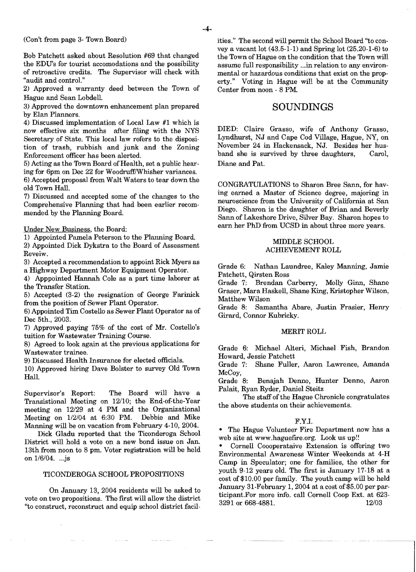$-4-$ 

(Con't from page 3- Town Board)

Bob Patchett asked about Resolution #69 that changed the EDU's for tourist accomodations and the possibility of retroactive credits. The Supervisor will check with "audit and control."

2) Approved a warranty deed between the Town of Hague and Sean Lobdell

3) Approved the downtown enhancement plan prepared by Elan Planners.

4) Discussed implementation of Local Law #1 which is now effective six months after filing with the NYS Secretary of State. This local law refers to the disposi tion of trash, rubbish and junk and the Zoning Enforcement officer has been alerted.

5) Acting as the Town Board of Health, set a public hear ing for 6pm on Dec 22 for Woodruff/Whisher variances.

6) Accepted proposal from Walt Waters to tear down the old Town HalL

7) Discussed and accepted some of the changes to the Comprehensive Planning that had been earlier recom mended by the Planning Board.

Under New Business, the Board:

1) Appointed Pamela Peterson to the Planning Board.

2) Appointed Dick Dykstra to the Board of Assessment Reveiw.

3) Accepted a recommendation to appoint Rick Myers as a Highway Department Motor Equipment Operator.

4) Apppointed Hannah Cole as a part time laborer at the Transfer Station.

5) Accepted (3-2) the resignation of George Farinick from the position of Sewer Plant Operator.

6) Appointed Tim Costello as Sewer Plant Operator as of Dec 5th., 2003.

7) Approved paying 75% of the cost of Mr. Costello's tuition for Wastewater Training Course.

8) Agreed to look again at the previous applications for Wastewater trainee.

9) Discussed Health Insurance for elected officials.

10) Approved hiring Dave Bolster to survey Old Town Hall.

Supervisor's Report: The Board will have a Transistional Meeting on *12/10;* the End-of-the-Year meeting on *12/29* at 4 PM and the Organizational Meeting on 112/04 at 6:30 PM. Debbie and Mike Manning will be on vacation from February 4-10, 2004.

Dick Gladu reported that the Ticonderoga School District will hold a vote on a new bond issue on Jan. 13th from noon to 8 pm. Voter registration will be held on *116/04.* ...js

# TICONDEROGA SCHOOL PROPOSITIONS

On January 13, 2004 residents will be asked to vote on two propositions. The frrst will allow the district "to construct, reconstruct and equip school district facilities." The second will permit the School Board "to convey a vacant lot (43.5-1-1) and Spring lot (25.20-1-6) to the Town of Hague on the condition that the Town will assume full responsibility ... in relation to any environmental or hazardous conditions that exist on the property." Voting in Hague will be at the Community Center from noon - 8 PM.

# SOUNDINGS

DIED: Claire Grasso, wife of Anthony Grasso, Lyndhurst, NJ and Cape Cod Village, Hague, NY, on November 24 in Hackensack, NJ. Besides her husband she is survived by three daughters, Carol, Diane and Pat.

CONGRATULATIONS to Sharon Bree Sann, for havmg earned a Master of Science degree, majoring in neuroscience from the University of California at San Diego. Sharon is the daughter of Brian and Beverly Sann of Lakeshore Drive, Silver Bay. Sharon hopes to earn her PhD from UCSD in about three more years.

## MIDDLE SCHOOL ACHIEVEMENT ROLL

Grade 6: Nathan Laundree, Kaley Manning, Jamie Patchett, Qirsten Ross

Brendan Carberry, Molly Ginn, Shane Graser, Mara Haskell, Shane King, Kristopher Wilson, Matthew Wilson

Grade 8: Samantha Abare, Justin Frasier, Henry Girard, Connor Kubricky.

#### MERIT ROLL

Grade 6: Michael Alteri, Michael Fish, Brandon Howard, Jessie Patchett

Grade 7: Shsne Fuller, Aaron Lawrence, Amanda McCoy,<br>Grade 8:

Benajah Denno, Hunter Denno, Aaron Palait, Ryan Ryder, Daniel Steitz

The staff of the Hague Chronicle congratulates the above students on their achievements.

#### F.Y.I.

• The Hague Volunteer Fire Department now has a web site at www.haguefire.org. Look us up!!

• Cornell Coooperataive Extension is offering two Environmental Awareness Winter Weekends at 4-H Camp in Speculator; one for families, the other for youth 9-12 years old. The first is January 17-18 at a cost of \$10.00 per family. The youth camp will be held January 31-February 1, 2004 at a cost of \$5.00 per participant.For more info. call Cornell Coop Ext. at 623 3291 or 668-4881. 12/03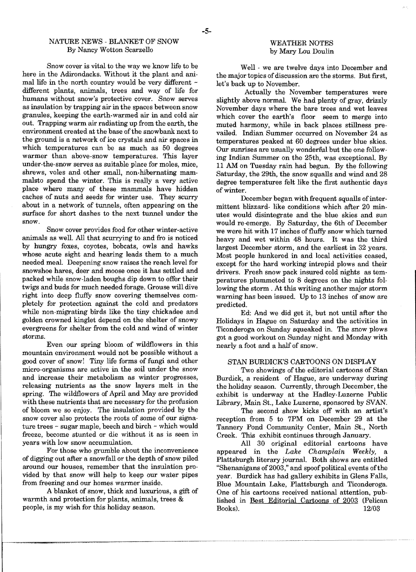# NATURE NEWS - BLANKET OF SNOW WEATHER NOTES<br>By Nancy Wotton Scarzello by Mary Lou Doulin By Nancy Wotton Scarzello

Snow cover is vital to the way we know life to be here in the Adirondacks. Without it the plant and animal life in the north country would be very different  $\sim$ different plants, animals, trees and way of life for humans without snow's protective cover. Snow serves as insulation by trapping air in the spaces between snow granules, keeping the earth-warmed air in and cold air out. Trapping warm air radiating up from the earth, the environment created at the base of the snowbank next to the ground is a network of ice crystals and air spaces in which temperatures can be as much as 50 degrees warmer than above-snow temperatures. This layer under-the-snow serves as suitable place for moles, mice, shrews, voles and other small, non-hibernating mammalsto spend the winter. This is really a very active place where many of these mammals have hidden caches of nuts and seeds for winter use. They scurry about in a network of tunnels, often appearing on the surface for short dashes to the next tunnel under the snow.

Snow cover provides food for other winter-active animals as well. All that scurrying to and fro is noticed by hungry foxes, coyotes, bobcats, owls and hawks whose acute sight and hearing leads them to a much needed meal. Deepening snow raises the reach level for snowshoe hares, deer and moose once it has settled and packed while snow-laden boughs dip down to offer their twigs and buds for much needed forage. Grouse will dive right into deep fluffy snow covering themselves completely for protection against the cold and predators while non-migrating birds like the tiny chickadee and golden crowned kinglet depend on the shelter of snowy evergreens for shelter from the cold and wind of winter storms.

Even our spring bloom of wildflowers in this mountain environment would not be possible without a good cover of snow! Tiny life forms of fungi and other micro-organisms are active in the soil under the snow and increase their metabolism as winter progresses, releasing nutrients as the snow layers melt in the spring. The wildflowers of April and May are provided with these nutrients that are necessary for the profusion of bloom we so enjoy. The insulation provided by the snow cover also protects the roots of some of our signature trees - sugar maple, beech and birch - which would freeze, become stunted or die without it as is seen in years with low snow accumulation.

For those who grumble about the inconvenience of digging out after a snowfall or the depth of snow piled around our houses, remember that the insulation provided by that snow will help to keep our water pipes from freezing and our homes warmer inside.

A blanket of snow, thick and luxurious, a gift of warmth and protection for plants, animals, trees & people, is my wish for this holiday season.

Well - we are twelve days into December and the major topics of discussion are the storms. But first, let's back up to November.

Actually the November temperatures were slightly above normal. We had plenty of gray, drizzly November days where the bare trees and wet leaves which cover the earth's floor seem to merge into muted harmony, while in back places stillness prevailed. Indian Summer occurred on November 24 as temperatures peaked at 60 degrees under blue skies. Our sunrises are usually wonderful but the one following Indian Summer on the 25th, was exceptional. By 11 AM on Tuesday rain had begun. By the following Saturday, the 29th, the snow squalls and wind and 28 degree temperatures felt like the first authentic days of winter.

December began with frequent squalls of intermittent blizzard- like conditions which after 20 minutes would disintegrate and the blue skies and sun would re-emerge. By Saturday, the 6th of December we were hit with 17 inches of fluffy snow which turned heavy and wet within 48 hours. It was the third largest December storm, and the earliest in 32 years. Most people hunkered in and local activities ceased, except for the hard working intrepid plows and their drivers. Fresh snow pack insured cold nights as temperatures plummeted to 8 degrees on the nights following the storm. At this writing another major storm warning has been issued. Up to 13 inches of snow are predicted.

Ed: And we did get it, but not until after the Holidays in Hague on Saturday and the activities in Ticonderoga on Sunday squeaked in. The snow plows got a good workout on Sunday night and Monday with nearly a foot and a half of snow.

#### STAN BURDICK'S CARTOONS ON DISPLAY

Two showings of the editorial cartoons of Stan Burdick, a resident of Hague, are underway during the holiday season. Currently, through December, the exhibit is underway at the Hadley-Luzerne Public Library, Main St., Lake Luzerne, sponsored by SVAN.

The second show kicks off with an artist's reception from 5 to 7PM on December 29 at the Tannery Pond Community Center, Main St., North Creek. This exhibit continues through January.

All 30 original editorial cartoons have appeared in the *Lake Champlain Weekly,* a Plattsburgh literary journal. Both shows are entitled "Shenanigans of 2003," and spoof political events of the year. Burdick has had gallery exhibits in Glens Falls, Blue Mountain Lake, Plattsburgh and Ticonderoga. One of his cartoons received national attention, published in Best Editorial Cartoons of 2003 (Pelican Books). *12/03*